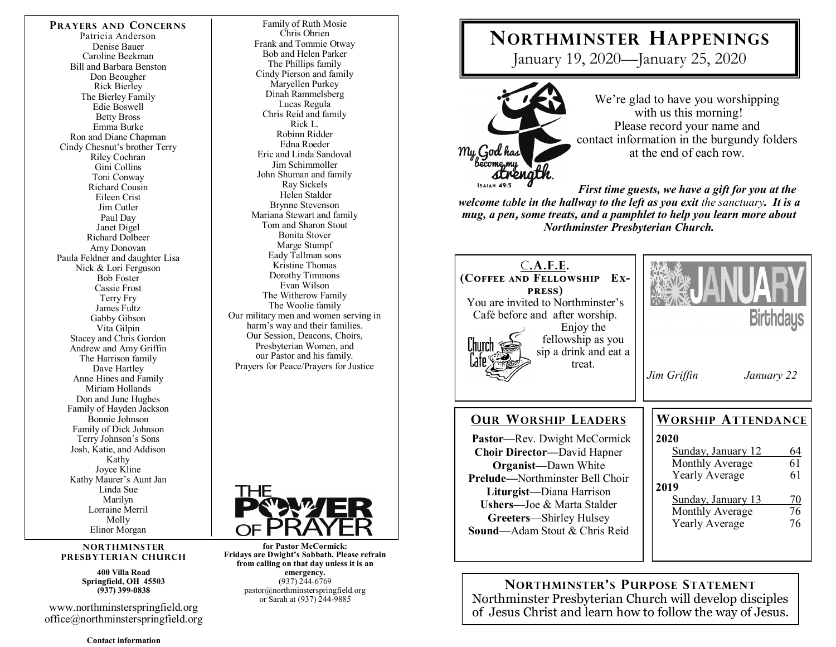#### **PRAYERS AND CONCERNS**

Patricia Anderson Denise Bauer Caroline Beekman Bill and Barbara Benston Don Beougher Rick Bierley The Bierley Family Edie Boswell Betty Bross Emma Burke Ron and Diane Chapman Cindy Chesnut's brother Terry Riley Cochran Gini Collins Toni Conway Richard Cousin Eileen Crist Jim Cutler Paul Day Janet Digel Richard Dolbeer Amy Donovan Paula Feldner and daughter Lisa Nick & Lori Ferguson Bob Foster Cassie Frost Terry Fry James Fultz Gabby Gibson Vita Gilpin Stacey and Chris Gordon Andrew and Amy Griffin The Harrison family Dave Hartley Anne Hines and Family Miriam Hollands Don and June Hughes Family of Hayden Jackson Bonnie Johnson Family of Dick Johnson Terry Johnson's Sons Josh, Katie, and Addison Kathy Joyce Kline Kathy Maurer's Aunt Jan Linda Sue Marilyn Lorraine Merril Molly Elinor Morgan

#### **NORTHMINSTER PRESBYTERIAN CHURCH**

**400 Villa Road Springfield, OH 45503 (937) 399-0838** 

www.northminsterspringfield.org office@northminsterspringfield.org

**Contact information** 

Family of Ruth Mosie Chris Obrien Frank and Tommie Otway Bob and Helen Parker The Phillips family Cindy Pierson and family Maryellen Purkey Dinah Rammelsberg Lucas Regula Chris Reid and family Rick L. Robinn Ridder Edna Roeder Eric and Linda Sandoval Jim Schimmoller John Shuman and family Ray Sickels Helen Stalder Brynne Stevenson Mariana Stewart and family Tom and Sharon Stout Bonita Stover Marge Stumpf Eady Tallman sons Kristine Thomas Dorothy Timmons Evan Wilson The Witherow Family The Woolie family Our military men and women serving in harm's way and their families. Our Session, Deacons, Choirs, Presbyterian Women, and our Pastor and his family. Prayers for Peace/Prayers for Justice



**for Pastor McCormick: Fridays are Dwight's Sabbath. Please refrain from calling on that day unless it is an emergency.** (937) 244-6769 pastor@northminsterspringfield.org or Sarah at (937) 244-9885

# **NORTHMINSTER HAPPENINGS**

January 19, 2020—January 25, 2020



We're glad to have you worshipping with us this morning! Please record your name and contact information in the burgundy folders at the end of each row.

*First time guests, we have a gift for you at the welcome table in the hallway to the left as you exit the sanctuary. It is a mug, a pen***,** *some treats, and a pamphlet to help you learn more about Northminster Presbyterian Church.* 

| C.A.F.E.<br>(COFFEE AND FELLOWSHIP<br>Ex-<br><b>PRESS</b> )<br>You are invited to Northminster's<br>Café before and after worship.<br>Enjoy the<br>fellowship as you<br>L'hurch<br>sip a drink and eat a<br>l'ate'<br>treat.                                                                           | <b>Birthdays</b><br>Jim Griffin<br>January 22                                                                                                                                                                            |
|--------------------------------------------------------------------------------------------------------------------------------------------------------------------------------------------------------------------------------------------------------------------------------------------------------|--------------------------------------------------------------------------------------------------------------------------------------------------------------------------------------------------------------------------|
| <b>OUR WORSHIP LEADERS</b><br><b>Pastor—Rev. Dwight McCormick</b><br><b>Choir Director—David Hapner</b><br><b>Organist</b> —Dawn White<br><b>Prelude—Northminster Bell Choir</b><br>Liturgist-Diana Harrison<br>Ushers-Joe & Marta Stalder<br>Greeters—Shirley Hulsey<br>Sound-Adam Stout & Chris Reid | <b>WORSHIP ATTENDANCE</b><br>2020<br>Sunday, January 12<br>64<br>61<br>Monthly Average<br><b>Yearly Average</b><br>61<br>2019<br>Sunday, January 13<br>$\frac{70}{76}$<br>Monthly Average<br>76<br><b>Yearly Average</b> |

**NORTHMINSTER'S PURPOSE STATEMENT** Northminster Presbyterian Church will develop disciples of Jesus Christ and learn how to follow the way of Jesus.